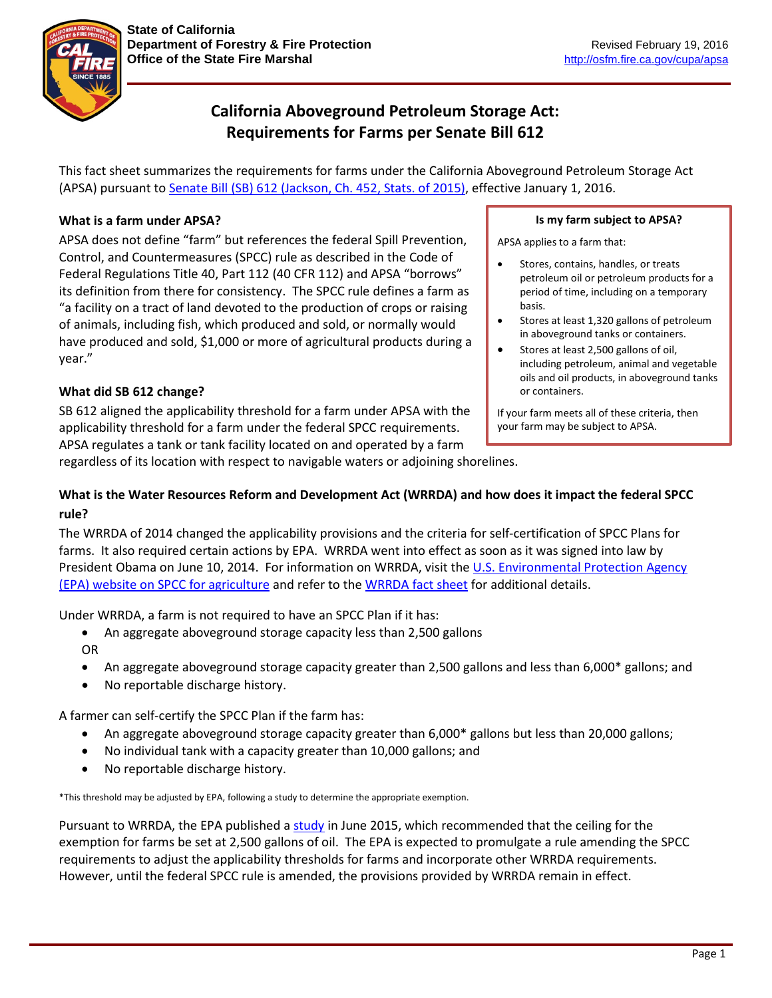

# **California Aboveground Petroleum Storage Act: Requirements for Farms per Senate Bill 612**

This fact sheet summarizes the requirements for farms under the California Aboveground Petroleum Storage Act (APSA) pursuant to Senate Bill (SB) [612 \(Jackson, Ch. 452, Stats. of 2015\),](http://leginfo.legislature.ca.gov/faces/billNavClient.xhtml?bill_id=201520160SB612) effective January 1, 2016.

# **What is a farm under APSA?**

APSA does not define "farm" but references the federal Spill Prevention, Control, and Countermeasures (SPCC) rule as described in the Code of Federal Regulations Title 40, Part 112 (40 CFR 112) and APSA "borrows" its definition from there for consistency. The SPCC rule defines a farm as "a facility on a tract of land devoted to the production of crops or raising of animals, including fish, which produced and sold, or normally would have produced and sold, \$1,000 or more of agricultural products during a year."

### **Is my farm subject to APSA?**

APSA applies to a farm that:

- Stores, contains, handles, or treats petroleum oil or petroleum products for a period of time, including on a temporary basis.
- Stores at least 1,320 gallons of petroleum in aboveground tanks or containers.
- Stores at least 2,500 gallons of oil, including petroleum, animal and vegetable oils and oil products, in aboveground tanks or containers.

If your farm meets all of these criteria, then your farm may be subject to APSA.

## **What did SB 612 change?**

SB 612 aligned the applicability threshold for a farm under APSA with the applicability threshold for a farm under the federal SPCC requirements. APSA regulates a tank or tank facility located on and operated by a farm

regardless of its location with respect to navigable waters or adjoining shorelines.

# **What is the Water Resources Reform and Development Act (WRRDA) and how does it impact the federal SPCC rule?**

The WRRDA of 2014 changed the applicability provisions and the criteria for self-certification of SPCC Plans for farms. It also required certain actions by EPA. WRRDA went into effect as soon as it was signed into law by President Obama on June 10, 2014. For information on WRRDA, visit the U.S. Environmental Protection Agency [\(EPA\) website on SPCC for agriculture](http://www.epa.gov/oil-spills-prevention-and-preparedness-regulations/spill-prevention-control-and-countermeasure-spcc) and refer to th[e WRRDA fact sheet](http://www.epa.gov/sites/production/files/2015-06/documents/final_wrrda_fact_sheet_4-24-15.pdf) for additional details.

Under WRRDA, a farm is not required to have an SPCC Plan if it has:

- An aggregate aboveground storage capacity less than 2,500 gallons OR
- An aggregate aboveground storage capacity greater than 2,500 gallons and less than 6,000<sup>\*</sup> gallons; and
- No reportable discharge history.

A farmer can self-certify the SPCC Plan if the farm has:

- An aggregate aboveground storage capacity greater than 6,000\* gallons but less than 20,000 gallons;
- No individual tank with a capacity greater than 10,000 gallons; and
- No reportable discharge history.

\*This threshold may be adjusted by EPA, following a study to determine the appropriate exemption.

Pursuant to WRRDA, the EPA published a [study](http://www.epa.gov/oil-spills-prevention-and-preparedness-regulations/oil-storage-us-farms-risks-and-opportunities) in June 2015, which recommended that the ceiling for the exemption for farms be set at 2,500 gallons of oil. The EPA is expected to promulgate a rule amending the SPCC requirements to adjust the applicability thresholds for farms and incorporate other WRRDA requirements. However, until the federal SPCC rule is amended, the provisions provided by WRRDA remain in effect.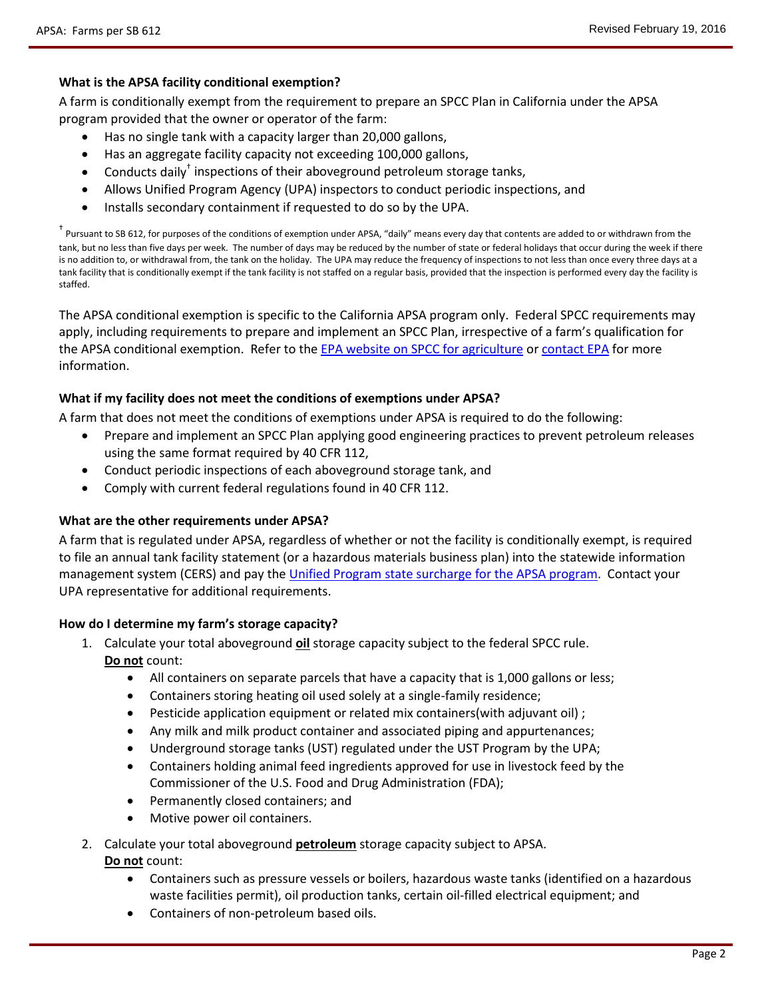### **What is the APSA facility conditional exemption?**

A farm is conditionally exempt from the requirement to prepare an SPCC Plan in California under the APSA program provided that the owner or operator of the farm:

- Has no single tank with a capacity larger than 20,000 gallons,
- Has an aggregate facility capacity not exceeding 100,000 gallons,
- Conducts daily<sup>†</sup> inspections of their aboveground petroleum storage tanks,
- Allows Unified Program Agency (UPA) inspectors to conduct periodic inspections, and
- Installs secondary containment if requested to do so by the UPA.

† Pursuant to SB 612, for purposes of the conditions of exemption under APSA, "daily" means every day that contents are added to or withdrawn from the tank, but no less than five days per week. The number of days may be reduced by the number of state or federal holidays that occur during the week if there is no addition to, or withdrawal from, the tank on the holiday. The UPA may reduce the frequency of inspections to not less than once every three days at a tank facility that is conditionally exempt if the tank facility is not staffed on a regular basis, provided that the inspection is performed every day the facility is staffed.

The APSA conditional exemption is specific to the California APSA program only. Federal SPCC requirements may apply, including requirements to prepare and implement an SPCC Plan, irrespective of a farm's qualification for the APSA conditional exemption. Refer to th[e EPA website on SPCC for agriculture](http://www.epa.gov/oil-spills-prevention-and-preparedness-regulations/spill-prevention-control-and-countermeasure-spcc) o[r contact EPA](http://www.epa.gov/oil-spills-prevention-and-preparedness-regulations/forms/contact-us-about-oil-spill-prevention-and) for more information.

#### **What if my facility does not meet the conditions of exemptions under APSA?**

A farm that does not meet the conditions of exemptions under APSA is required to do the following:

- Prepare and implement an SPCC Plan applying good engineering practices to prevent petroleum releases using the same format required by 40 CFR 112,
- Conduct periodic inspections of each aboveground storage tank, and
- Comply with current federal regulations found in 40 CFR 112.

#### **What are the other requirements under APSA?**

A farm that is regulated under APSA, regardless of whether or not the facility is conditionally exempt, is required to file an annual tank facility statement (or a hazardous materials business plan) into the statewide information management system (CERS) and pay the [Unified Program state surcharge for the APSA program.](http://osfm.fire.ca.gov/cupa/pdf/APSA-Surcharge.pdf) Contact your UPA representative for additional requirements.

#### **How do I determine my farm's storage capacity?**

- 1. Calculate your total aboveground **oil** storage capacity subject to the federal SPCC rule. **Do not** count:
	- All containers on separate parcels that have a capacity that is 1,000 gallons or less;
	- Containers storing heating oil used solely at a single-family residence;
	- Pesticide application equipment or related mix containers(with adjuvant oil) ;
	- Any milk and milk product container and associated piping and appurtenances;
	- Underground storage tanks (UST) regulated under the UST Program by the UPA;
	- Containers holding animal feed ingredients approved for use in livestock feed by the Commissioner of the U.S. Food and Drug Administration (FDA);
	- Permanently closed containers; and
	- Motive power oil containers.
- 2. Calculate your total aboveground **petroleum** storage capacity subject to APSA. **Do not** count:
	- Containers such as pressure vessels or boilers, hazardous waste tanks (identified on a hazardous waste facilities permit), oil production tanks, certain oil-filled electrical equipment; and
	- Containers of non-petroleum based oils.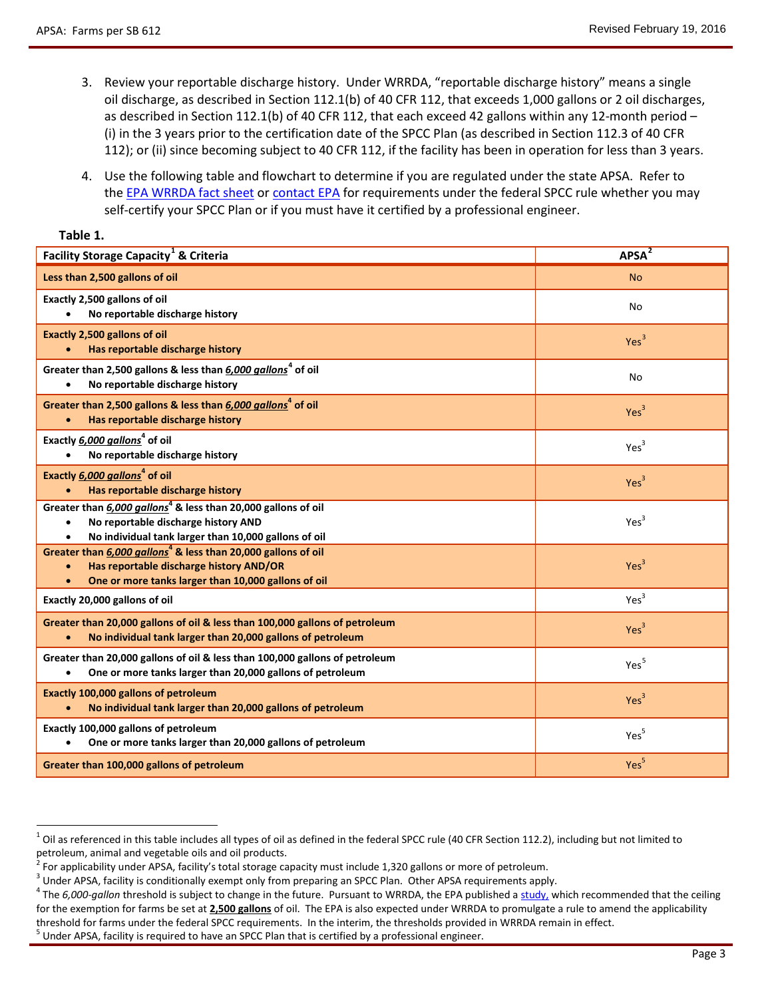**Table 1.**

- 3. Review your reportable discharge history. Under WRRDA, "reportable discharge history" means a single oil discharge, as described in Section 112.1(b) of 40 CFR 112, that exceeds 1,000 gallons or 2 oil discharges, as described in Section 112.1(b) of 40 CFR 112, that each exceed 42 gallons within any 12-month period – (i) in the 3 years prior to the certification date of the SPCC Plan (as described in Section 112.3 of 40 CFR 112); or (ii) since becoming subject to 40 CFR 112, if the facility has been in operation for less than 3 years.
- 4. Use the following table and flowchart to determine if you are regulated under the state APSA. Refer to the [EPA WRRDA fact sheet](http://www.epa.gov/sites/production/files/2015-06/documents/final_wrrda_fact_sheet_4-24-15.pdf) or [contact EPA](http://www.epa.gov/oil-spills-prevention-and-preparedness-regulations/forms/contact-us-about-oil-spill-prevention-and) for requirements under the federal SPCC rule whether you may self-certify your SPCC Plan or if you must have it certified by a professional engineer.

| <b>Facility Storage Capacity<sup>1</sup> &amp; Criteria</b>                                                                                                                 | APSA <sup>2</sup> |
|-----------------------------------------------------------------------------------------------------------------------------------------------------------------------------|-------------------|
|                                                                                                                                                                             |                   |
| Less than 2,500 gallons of oil                                                                                                                                              | <b>No</b>         |
| Exactly 2,500 gallons of oil<br>No reportable discharge history                                                                                                             | No                |
| <b>Exactly 2,500 gallons of oil</b><br>Has reportable discharge history                                                                                                     | Yes <sup>3</sup>  |
| Greater than 2,500 gallons & less than 6,000 gallons <sup>4</sup> of oil<br>No reportable discharge history                                                                 | No                |
| Greater than 2,500 gallons & less than 6,000 gallons <sup>4</sup> of oil<br>Has reportable discharge history                                                                | Yes <sup>3</sup>  |
| Exactly 6,000 gallons <sup>4</sup> of oil<br>No reportable discharge history                                                                                                | Yes <sup>3</sup>  |
| Exactly 6,000 gallons <sup>4</sup> of oil<br>Has reportable discharge history                                                                                               | Yes <sup>3</sup>  |
| Greater than 6,000 gallons <sup>4</sup> & less than 20,000 gallons of oil<br>No reportable discharge history AND<br>No individual tank larger than 10,000 gallons of oil    | Yes <sup>3</sup>  |
| Greater than 6,000 gallons <sup>4</sup> & less than 20,000 gallons of oil<br>Has reportable discharge history AND/OR<br>One or more tanks larger than 10,000 gallons of oil | Yes <sup>3</sup>  |
| Exactly 20,000 gallons of oil                                                                                                                                               | Yes <sup>3</sup>  |
| Greater than 20,000 gallons of oil & less than 100,000 gallons of petroleum<br>No individual tank larger than 20,000 gallons of petroleum<br>$\bullet$                      | Yes <sup>3</sup>  |
| Greater than 20,000 gallons of oil & less than 100,000 gallons of petroleum<br>One or more tanks larger than 20,000 gallons of petroleum<br>$\bullet$                       | Yes <sup>5</sup>  |
| <b>Exactly 100,000 gallons of petroleum</b><br>No individual tank larger than 20,000 gallons of petroleum                                                                   | Yes <sup>3</sup>  |
| Exactly 100,000 gallons of petroleum<br>One or more tanks larger than 20,000 gallons of petroleum<br>$\bullet$                                                              | Yes <sup>5</sup>  |
| Greater than 100,000 gallons of petroleum                                                                                                                                   | Yes <sup>5</sup>  |

<span id="page-2-0"></span> $1$  Oil as referenced in this table includes all types of oil as defined in the federal SPCC rule (40 CFR Section 112.2), including but not limited to petroleum, animal and vegetable oils and oil products.

<span id="page-2-3"></span><span id="page-2-2"></span>

<span id="page-2-1"></span><sup>&</sup>lt;sup>2</sup> For applicability under APSA, facility's total storage capacity must include 1,320 gallons or more of petroleum.<br><sup>3</sup> Under APSA, facility is conditionally exempt only from preparing an SPCC Plan. Other APSA requiremen for the exemption for farms be set at **2,500 gallons** of oil. The EPA is also expected under WRRDA to promulgate a rule to amend the applicability threshold for farms under the federal SPCC requirements. In the interim, the thresholds provided in WRRDA remain in effect.<br><sup>5</sup> Under APSA, facility is required to have an SPCC Plan that is certified by a professional engi

<span id="page-2-4"></span>